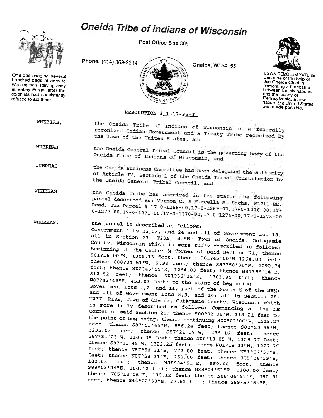## Oneida Tribe of Indians of Wisconsin



Oneidas bringing several hundred bags of corn to Washington's starving army at Valley Forge. after the colonists had consistently refused to aid them.

Post Office Box 365

Phone: (414) 869-2214



Oneida, Wi 54155



UGWA DEMOLUM YATEHE Because of the help of this Oneida Chief in cementing a friendship and the colony of Pennsylvania, a new nation, the United States was made possible.

## RESOLUTION  $\text{\#}$  1-17-96-J

WHEREAS, the Oneida Tribe of Indians of Wisconsin is a federally reconized Indian Government and a Treaty Tribe reconized by<br>the laws of the United States and the laws of the United States, and

WHEREAS the Oneida General Tribal Council is the governing body of the<br>Oneida Tribe of Indians of Wisconsing Oneida Tribe of Indians of Wisconsin, and

WHEREAS the Oneida Business Committee has been delegated the authority<br>of Article IV. Section 1 of the Oneil = William of Article IV, Section 1 of the Oneida Tribal Constitution by<br>the Oneida General Tribal Council the Oneida General Tribal Council, and

WHEREAS the Oneida Tribe has acquired in fee status the following<br>parcel described as: Vormon G ... . parcel described as: Vernon C. & Marcella M. Sachs, W2711 EE.<br>Road, Tax Parcel # 17-0-1269 00 17 0 1269 00 17 0 1269 Road, Tax Parcel # 17-0-1268-00, 17-0-1269-00, 17-0-1276-00, 17-0-1277-00. 17-0-1271. 00. 17.  $0-1277-00,17-0-1271-00,17-0-1270-00,17-0-1274-00,17-0-1273-00$ 

WHEREAS, the parcel is described as follows: Government Lots 22,23, and 24 and all of Government Lot 18, all in Section 21, T23N, R18E, Town of Oneida, Outagamie County, Wisconsin which is more fully described as follows: Beginning at the Center  $\times$  Corner of said Section 21; thence S01?16'00"W, 1305.13 feet; thence S01?45'00"W 1264.00 feet; thence S88?04'51"W, 2.93 feet; thence S87?58'31"W, 1292.74 feet; thence N02?45'59"E, 1264 83 feet; thence N878561.14 812.52 feet; thence  $N01236132 \text{ m}$ , 1303.84 feet, 14" 812.52 feet; thence N01?36'32"E, 1303.84 feet;<br>N87?42'49"E, 453.03 feet; to the point of beginning. Government Lots 1,2, and 11; part of the North  $\frac{1}{2}$  of the NEW; and all of Government Lots 8,9, and 10; all in Section 28,

T23N, R18E, Town of Oneida, Outagamie County, Wisconsin which is more fully described as follows: Commencing at the NE Corner of said Section 28; thence  $S00°02'06''W$ , 118.21 feet to the point of beginning; thence continuing S00°02'06"W, 1218.27 feet; thence  $S87°53'45''W$ ,  $856.24$  feet; thence  $S00°20'56''W$ , 1295.03 feetj thence S87°21'17"W, 436.16 feetj thence S87°34'23"W, 1105.35 feet; thence N00°18'05"W, 1329.77 feet; thence S87°21'45"W, 1322.25 feet; thence N01°18'33"W, 1275.76 feet; thence N87°58'31"E, 772.00 feet; thence N81°07'57"E, feet; thence  $N87°58'31"E$ , 250.00 feet; thence S85°06'59"E, 100.63 feet; thence N88°04'51"E, 550.00 feet; thence S89°03'24"E, 100.12 feetj thence N88°04'51"E, 1300.00 feet; thence N85°13'06"E, 100.12 feetj thence N88°04'51"E, 390.91 feet; thence S44°22'30"E, 97.61 feet; thence S89°57'54"E,